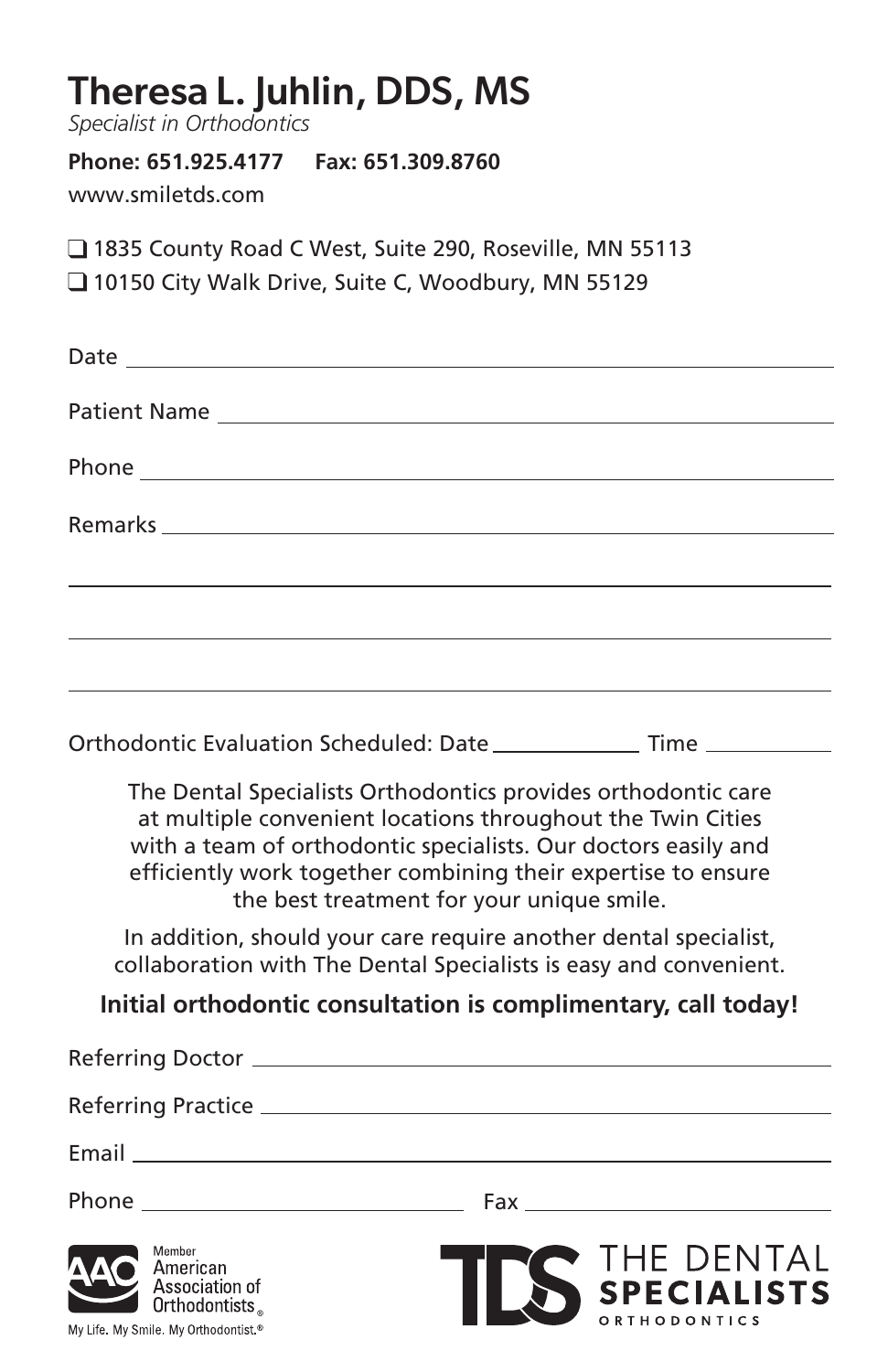| Theresa L. Juhlin, DDS, MS<br>Specialist in Orthodontics                                                                                                                                                                                                                                                     |
|--------------------------------------------------------------------------------------------------------------------------------------------------------------------------------------------------------------------------------------------------------------------------------------------------------------|
| Phone: 651.925.4177    Fax: 651.309.8760<br>www.smiletds.com                                                                                                                                                                                                                                                 |
| 1835 County Road C West, Suite 290, Roseville, MN 55113<br>10150 City Walk Drive, Suite C, Woodbury, MN 55129                                                                                                                                                                                                |
|                                                                                                                                                                                                                                                                                                              |
| Patient Name                                                                                                                                                                                                                                                                                                 |
|                                                                                                                                                                                                                                                                                                              |
|                                                                                                                                                                                                                                                                                                              |
|                                                                                                                                                                                                                                                                                                              |
|                                                                                                                                                                                                                                                                                                              |
| Orthodontic Evaluation Scheduled: Date ______________ Time ___________                                                                                                                                                                                                                                       |
| The Dental Specialists Orthodontics provides orthodontic care<br>at multiple convenient locations throughout the Twin Cities<br>with a team of orthodontic specialists. Our doctors easily and<br>efficiently work together combining their expertise to ensure<br>the best treatment for your unique smile. |
| In addition, should your care require another dental specialist,<br>collaboration with The Dental Specialists is easy and convenient.                                                                                                                                                                        |
| Initial orthodontic consultation is complimentary, call today!                                                                                                                                                                                                                                               |
| <b>Referring Doctor</b>                                                                                                                                                                                                                                                                                      |
|                                                                                                                                                                                                                                                                                                              |
|                                                                                                                                                                                                                                                                                                              |
|                                                                                                                                                                                                                                                                                                              |
| Member<br>V THE DENTAL<br>Nispecialists<br>American<br>Association of<br>Orthodontists.<br><b>RTHODONTICS</b><br>My Life. My Smile. My Orthodontist.®                                                                                                                                                        |